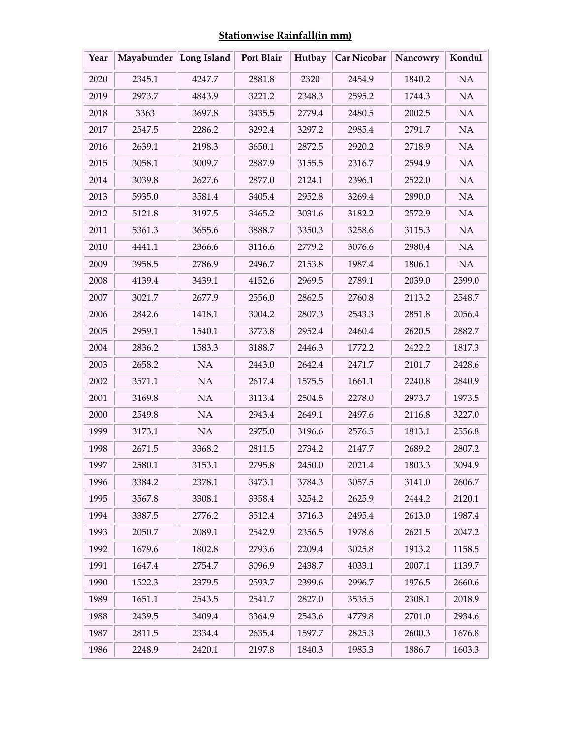| <b>Stationwise Rainfall(in mm)</b> |  |  |
|------------------------------------|--|--|
|                                    |  |  |

| Year | Mayabunder Long Island |        | Port Blair | Hutbay | <b>Car Nicobar</b> | Nancowry | Kondul   |
|------|------------------------|--------|------------|--------|--------------------|----------|----------|
| 2020 | 2345.1                 | 4247.7 | 2881.8     | 2320   | 2454.9             | 1840.2   | $\rm NA$ |
| 2019 | 2973.7                 | 4843.9 | 3221.2     | 2348.3 | 2595.2             | 1744.3   | NA       |
| 2018 | 3363                   | 3697.8 | 3435.5     | 2779.4 | 2480.5             | 2002.5   | $\rm NA$ |
| 2017 | 2547.5                 | 2286.2 | 3292.4     | 3297.2 | 2985.4             | 2791.7   | NA       |
| 2016 | 2639.1                 | 2198.3 | 3650.1     | 2872.5 | 2920.2             | 2718.9   | $\rm NA$ |
| 2015 | 3058.1                 | 3009.7 | 2887.9     | 3155.5 | 2316.7             | 2594.9   | NA       |
| 2014 | 3039.8                 | 2627.6 | 2877.0     | 2124.1 | 2396.1             | 2522.0   | $\rm NA$ |
| 2013 | 5935.0                 | 3581.4 | 3405.4     | 2952.8 | 3269.4             | 2890.0   | NA       |
| 2012 | 5121.8                 | 3197.5 | 3465.2     | 3031.6 | 3182.2             | 2572.9   | $\rm NA$ |
| 2011 | 5361.3                 | 3655.6 | 3888.7     | 3350.3 | 3258.6             | 3115.3   | NA       |
| 2010 | 4441.1                 | 2366.6 | 3116.6     | 2779.2 | 3076.6             | 2980.4   | NA       |
| 2009 | 3958.5                 | 2786.9 | 2496.7     | 2153.8 | 1987.4             | 1806.1   | NA       |
| 2008 | 4139.4                 | 3439.1 | 4152.6     | 2969.5 | 2789.1             | 2039.0   | 2599.0   |
| 2007 | 3021.7                 | 2677.9 | 2556.0     | 2862.5 | 2760.8             | 2113.2   | 2548.7   |
| 2006 | 2842.6                 | 1418.1 | 3004.2     | 2807.3 | 2543.3             | 2851.8   | 2056.4   |
| 2005 | 2959.1                 | 1540.1 | 3773.8     | 2952.4 | 2460.4             | 2620.5   | 2882.7   |
| 2004 | 2836.2                 | 1583.3 | 3188.7     | 2446.3 | 1772.2             | 2422.2   | 1817.3   |
| 2003 | 2658.2                 | NA     | 2443.0     | 2642.4 | 2471.7             | 2101.7   | 2428.6   |
| 2002 | 3571.1                 | NA     | 2617.4     | 1575.5 | 1661.1             | 2240.8   | 2840.9   |
| 2001 | 3169.8                 | NA     | 3113.4     | 2504.5 | 2278.0             | 2973.7   | 1973.5   |
| 2000 | 2549.8                 | NA     | 2943.4     | 2649.1 | 2497.6             | 2116.8   | 3227.0   |
| 1999 | 3173.1                 | NA     | 2975.0     | 3196.6 | 2576.5             | 1813.1   | 2556.8   |
| 1998 | 2671.5                 | 3368.2 | 2811.5     | 2734.2 | 2147.7             | 2689.2   | 2807.2   |
| 1997 | 2580.1                 | 3153.1 | 2795.8     | 2450.0 | 2021.4             | 1803.3   | 3094.9   |
| 1996 | 3384.2                 | 2378.1 | 3473.1     | 3784.3 | 3057.5             | 3141.0   | 2606.7   |
| 1995 | 3567.8                 | 3308.1 | 3358.4     | 3254.2 | 2625.9             | 2444.2   | 2120.1   |
| 1994 | 3387.5                 | 2776.2 | 3512.4     | 3716.3 | 2495.4             | 2613.0   | 1987.4   |
| 1993 | 2050.7                 | 2089.1 | 2542.9     | 2356.5 | 1978.6             | 2621.5   | 2047.2   |
| 1992 | 1679.6                 | 1802.8 | 2793.6     | 2209.4 | 3025.8             | 1913.2   | 1158.5   |
| 1991 | 1647.4                 | 2754.7 | 3096.9     | 2438.7 | 4033.1             | 2007.1   | 1139.7   |
| 1990 | 1522.3                 | 2379.5 | 2593.7     | 2399.6 | 2996.7             | 1976.5   | 2660.6   |
| 1989 | 1651.1                 | 2543.5 | 2541.7     | 2827.0 | 3535.5             | 2308.1   | 2018.9   |
| 1988 | 2439.5                 | 3409.4 | 3364.9     | 2543.6 | 4779.8             | 2701.0   | 2934.6   |
| 1987 | 2811.5                 | 2334.4 | 2635.4     | 1597.7 | 2825.3             | 2600.3   | 1676.8   |
| 1986 | 2248.9                 | 2420.1 | 2197.8     | 1840.3 | 1985.3             | 1886.7   | 1603.3   |